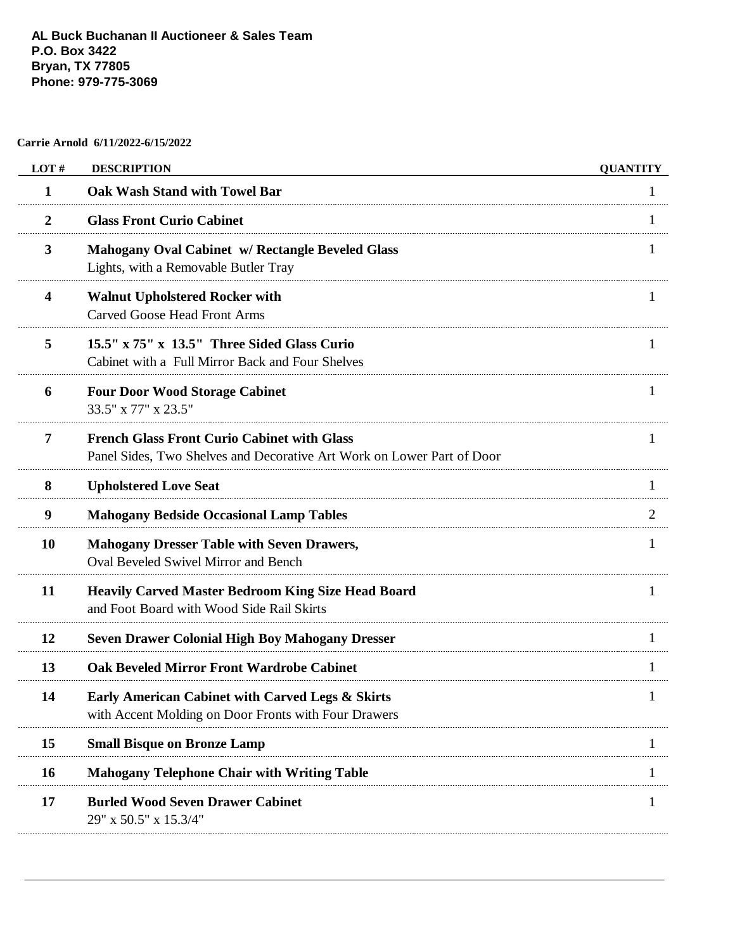## **Carrie Arnold 6/11/2022-6/15/2022**

| LOT#           | <b>DESCRIPTION</b>                                                                                                           | <b>QUANTITY</b> |
|----------------|------------------------------------------------------------------------------------------------------------------------------|-----------------|
| 1              | <b>Oak Wash Stand with Towel Bar</b>                                                                                         |                 |
| $\overline{2}$ | <b>Glass Front Curio Cabinet</b>                                                                                             |                 |
| 3              | <b>Mahogany Oval Cabinet w/ Rectangle Beveled Glass</b><br>Lights, with a Removable Butler Tray                              |                 |
| 4              | <b>Walnut Upholstered Rocker with</b><br><b>Carved Goose Head Front Arms</b>                                                 |                 |
| 5              | 15.5" x 75" x 13.5" Three Sided Glass Curio<br>Cabinet with a Full Mirror Back and Four Shelves                              | $\mathbf{I}$    |
| 6              | <b>Four Door Wood Storage Cabinet</b><br>33.5" x 77" x 23.5"                                                                 |                 |
| 7              | <b>French Glass Front Curio Cabinet with Glass</b><br>Panel Sides, Two Shelves and Decorative Art Work on Lower Part of Door |                 |
| 8              | <b>Upholstered Love Seat</b>                                                                                                 |                 |
| 9              | <b>Mahogany Bedside Occasional Lamp Tables</b>                                                                               | 2               |
| 10             | <b>Mahogany Dresser Table with Seven Drawers,</b><br><b>Oval Beveled Swivel Mirror and Bench</b>                             | 1               |
| 11             | <b>Heavily Carved Master Bedroom King Size Head Board</b><br>and Foot Board with Wood Side Rail Skirts                       | $\mathbf{I}$    |
| 12             | <b>Seven Drawer Colonial High Boy Mahogany Dresser</b>                                                                       |                 |
| 13             | <b>Oak Beveled Mirror Front Wardrobe Cabinet</b>                                                                             |                 |
| 14             | <b>Early American Cabinet with Carved Legs &amp; Skirts</b><br>with Accent Molding on Door Fronts with Four Drawers          |                 |
| 15             | <b>Small Bisque on Bronze Lamp</b>                                                                                           |                 |
| 16             | <b>Mahogany Telephone Chair with Writing Table</b>                                                                           |                 |
| 17             | <b>Burled Wood Seven Drawer Cabinet</b><br>29" x 50.5" x 15.3/4"                                                             |                 |